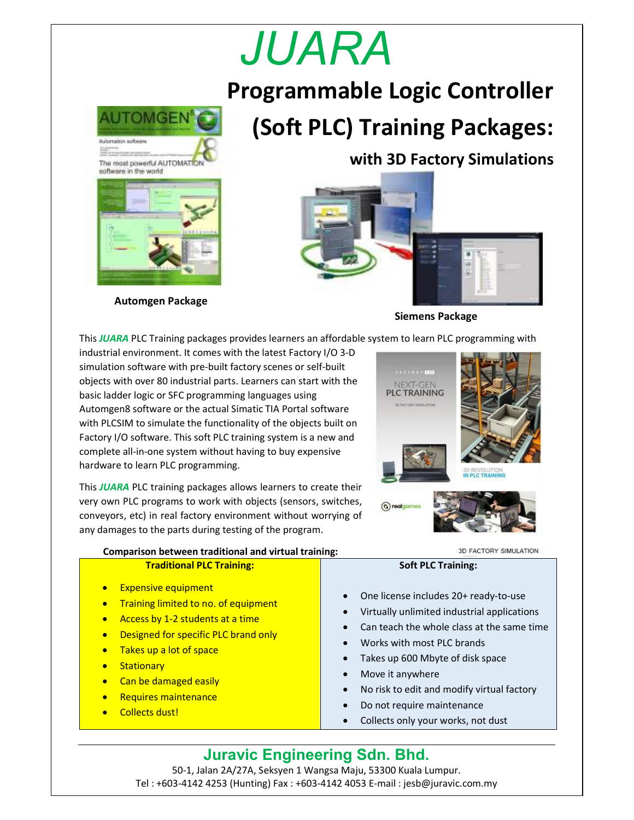# *JUARA*

**Programmable Logic Controller (Soft PLC) Training Packages:** 



**Automgen Package**

**with 3D Factory Simulations**



**Siemens Package**

This *JUARA* PLC Training packages provides learners an affordable system to learn PLC programming with

industrial environment. It comes with the latest Factory I/O 3-D simulation software with pre-built factory scenes or self-built objects with over 80 industrial parts. Learners can start with the basic ladder logic or SFC programming languages using Automgen8 software or the actual Simatic TIA Portal software with PLCSIM to simulate the functionality of the objects built on Factory I/O software. This soft PLC training system is a new and complete all-in-one system without having to buy expensive hardware to learn PLC programming.

This *JUARA* PLC training packages allows learners to create their very own PLC programs to work with objects (sensors, switches, conveyors, etc) in real factory environment without worrying of any damages to the parts during testing of the program.



**Comparison between traditional and virtual training:** 

3D FACTORY SIMULATION

| <b>Traditional PLC Training:</b>                                                                                                                                                                                                                                                                                                                                                       | <b>Soft PLC Training:</b>                                                                                                                                                                                                                                                                                                                                            |
|----------------------------------------------------------------------------------------------------------------------------------------------------------------------------------------------------------------------------------------------------------------------------------------------------------------------------------------------------------------------------------------|----------------------------------------------------------------------------------------------------------------------------------------------------------------------------------------------------------------------------------------------------------------------------------------------------------------------------------------------------------------------|
| <b>Expensive equipment</b><br>$\bullet$<br>Training limited to no. of equipment<br>$\bullet$<br>Access by 1-2 students at a time<br>$\bullet$<br>Designed for specific PLC brand only<br>$\bullet$<br>Takes up a lot of space<br>$\bullet$<br><b>Stationary</b><br>$\bullet$<br>Can be damaged easily<br>$\bullet$<br>Requires maintenance<br>$\bullet$<br>Collects dust!<br>$\bullet$ | One license includes 20+ ready-to-use<br>$\bullet$<br>Virtually unlimited industrial applications<br>Can teach the whole class at the same time<br>Works with most PLC brands<br>Takes up 600 Mbyte of disk space<br>Move it anywhere<br>$\bullet$<br>No risk to edit and modify virtual factory<br>Do not require maintenance<br>Collects only your works, not dust |

### **Juravic Engineering Sdn. Bhd.** 50-1, Jalan 2A/27A, Seksyen 1 Wangsa Maju, 53300 Kuala Lumpur. Tel : +603-4142 4253 (Hunting) Fax : +603-4142 4053 E-mail : jesb@juravic.com.my